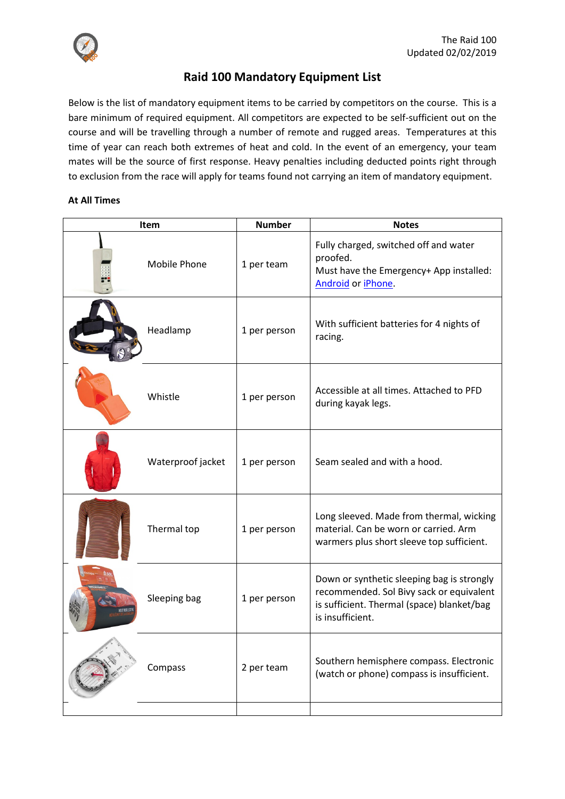

# **Raid 100 Mandatory Equipment List**

Below is the list of mandatory equipment items to be carried by competitors on the course. This is a bare minimum of required equipment. All competitors are expected to be self-sufficient out on the course and will be travelling through a number of remote and rugged areas. Temperatures at this time of year can reach both extremes of heat and cold. In the event of an emergency, your team mates will be the source of first response. Heavy penalties including deducted points right through to exclusion from the race will apply for teams found not carrying an item of mandatory equipment.

### **At All Times**

| <b>Item</b> |                   | <b>Number</b> | <b>Notes</b>                                                                                                                                             |
|-------------|-------------------|---------------|----------------------------------------------------------------------------------------------------------------------------------------------------------|
|             | Mobile Phone      | 1 per team    | Fully charged, switched off and water<br>proofed.<br>Must have the Emergency+ App installed:<br>Android or iPhone.                                       |
|             | Headlamp          | 1 per person  | With sufficient batteries for 4 nights of<br>racing.                                                                                                     |
|             | Whistle           | 1 per person  | Accessible at all times. Attached to PFD<br>during kayak legs.                                                                                           |
|             | Waterproof jacket | 1 per person  | Seam sealed and with a hood.                                                                                                                             |
|             | Thermal top       | 1 per person  | Long sleeved. Made from thermal, wicking<br>material. Can be worn or carried. Arm<br>warmers plus short sleeve top sufficient.                           |
|             | Sleeping bag      | 1 per person  | Down or synthetic sleeping bag is strongly<br>recommended. Sol Bivy sack or equivalent<br>is sufficient. Thermal (space) blanket/bag<br>is insufficient. |
|             | Compass           | 2 per team    | Southern hemisphere compass. Electronic<br>(watch or phone) compass is insufficient.                                                                     |
|             |                   |               |                                                                                                                                                          |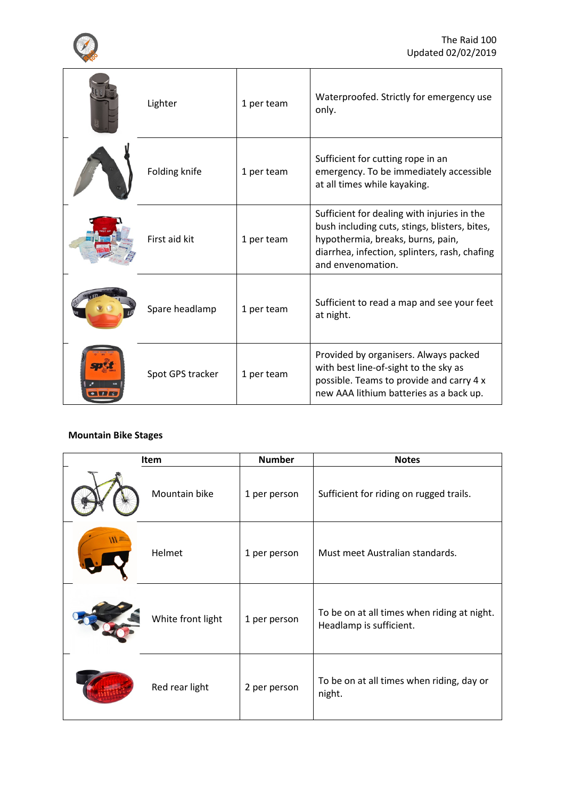

| Lighter          | 1 per team | Waterproofed. Strictly for emergency use<br>only.                                                                                                                                                       |
|------------------|------------|---------------------------------------------------------------------------------------------------------------------------------------------------------------------------------------------------------|
| Folding knife    | 1 per team | Sufficient for cutting rope in an<br>emergency. To be immediately accessible<br>at all times while kayaking.                                                                                            |
| First aid kit    | 1 per team | Sufficient for dealing with injuries in the<br>bush including cuts, stings, blisters, bites,<br>hypothermia, breaks, burns, pain,<br>diarrhea, infection, splinters, rash, chafing<br>and envenomation. |
| Spare headlamp   | 1 per team | Sufficient to read a map and see your feet<br>at night.                                                                                                                                                 |
| Spot GPS tracker | 1 per team | Provided by organisers. Always packed<br>with best line-of-sight to the sky as<br>possible. Teams to provide and carry 4 x<br>new AAA lithium batteries as a back up.                                   |

## **Mountain Bike Stages**

| Item |                   | <b>Number</b> | <b>Notes</b>                                                           |
|------|-------------------|---------------|------------------------------------------------------------------------|
|      | Mountain bike     | 1 per person  | Sufficient for riding on rugged trails.                                |
|      | Helmet            | 1 per person  | Must meet Australian standards.                                        |
|      | White front light | 1 per person  | To be on at all times when riding at night.<br>Headlamp is sufficient. |
|      | Red rear light    | 2 per person  | To be on at all times when riding, day or<br>night.                    |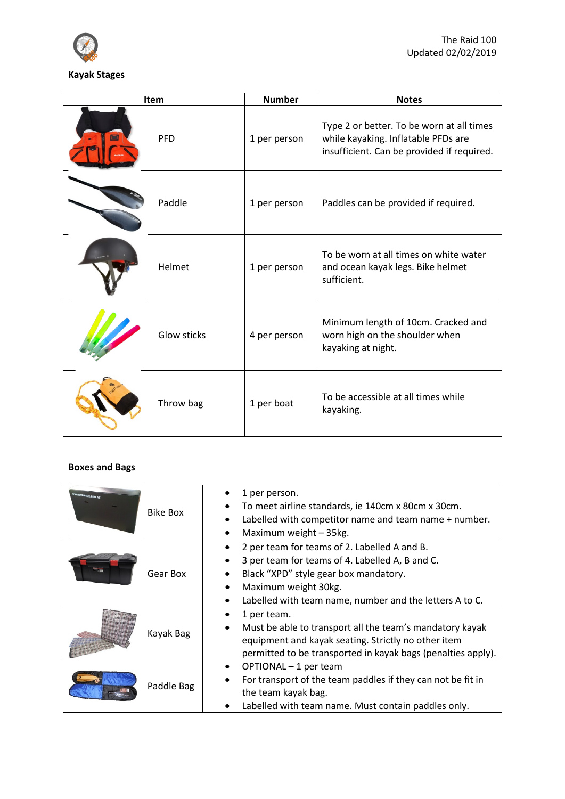

| <b>Item</b>        | <b>Number</b> | <b>Notes</b>                                                                                                                   |
|--------------------|---------------|--------------------------------------------------------------------------------------------------------------------------------|
| <b>PFD</b>         | 1 per person  | Type 2 or better. To be worn at all times<br>while kayaking. Inflatable PFDs are<br>insufficient. Can be provided if required. |
| Paddle             | 1 per person  | Paddles can be provided if required.                                                                                           |
| Helmet             | 1 per person  | To be worn at all times on white water<br>and ocean kayak legs. Bike helmet<br>sufficient.                                     |
| <b>Glow sticks</b> | 4 per person  | Minimum length of 10cm. Cracked and<br>worn high on the shoulder when<br>kayaking at night.                                    |
| Throw bag          | 1 per boat    | To be accessible at all times while<br>kayaking.                                                                               |

## **Boxes and Bags**

| <b>TEM.BOX4EIKE.COM.AV</b> | Bike Box   | 1 per person.<br>To meet airline standards, ie 140cm x 80cm x 30cm.<br>Labelled with competitor name and team name + number.<br>Maximum weight - 35kg.                                                                                   |
|----------------------------|------------|------------------------------------------------------------------------------------------------------------------------------------------------------------------------------------------------------------------------------------------|
|                            | Gear Box   | 2 per team for teams of 2. Labelled A and B.<br>3 per team for teams of 4. Labelled A, B and C.<br>$\bullet$<br>Black "XPD" style gear box mandatory.<br>Maximum weight 30kg.<br>Labelled with team name, number and the letters A to C. |
|                            | Kayak Bag  | 1 per team.<br>Must be able to transport all the team's mandatory kayak<br>equipment and kayak seating. Strictly no other item<br>permitted to be transported in kayak bags (penalties apply).                                           |
|                            | Paddle Bag | OPTIONAL - 1 per team<br>For transport of the team paddles if they can not be fit in<br>the team kayak bag.<br>Labelled with team name. Must contain paddles only.                                                                       |